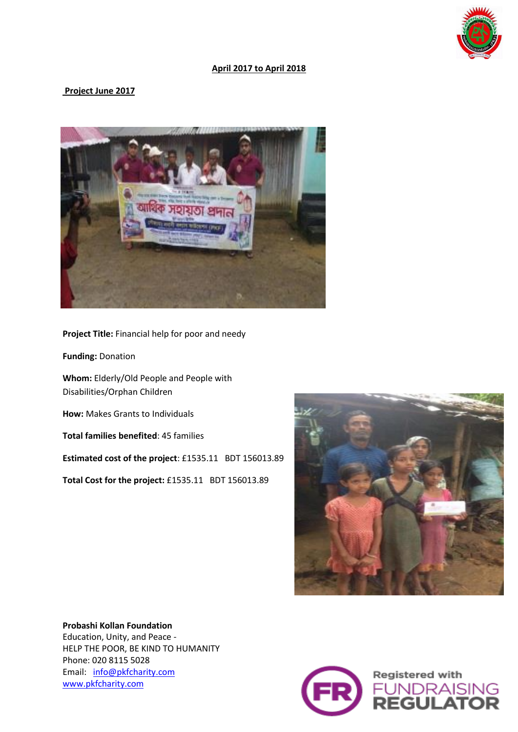

## **April 2017 to April 2018**

## **Project June 2017**



**Project Title:** Financial help for poor and needy

**Funding:** Donation

**Whom:** Elderly/Old People and People with Disabilities/Orphan Children

**How:** Makes Grants to Individuals

**Total families benefited**: 45 families

**Estimated cost of the project**: £1535.11 BDT 156013.89

**Total Cost for the project:** £1535.11 BDT 156013.89



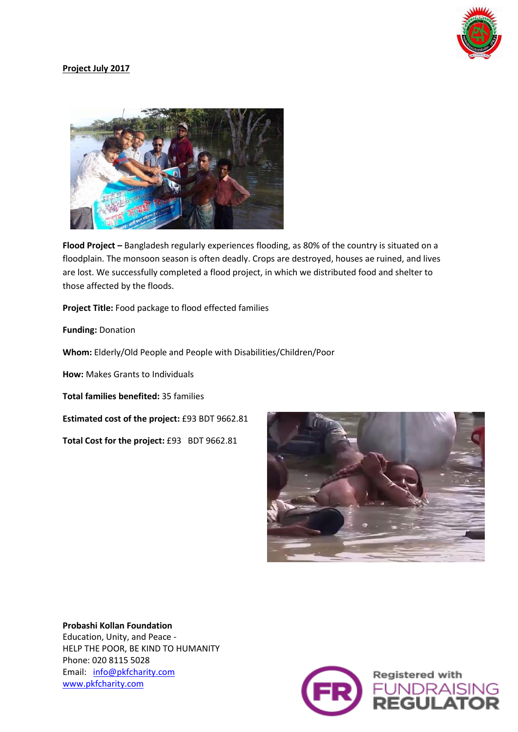

# **Project July 2017**



**Flood Project –** Bangladesh regularly experiences flooding, as 80% of the country is situated on a floodplain. The monsoon season is often deadly. Crops are destroyed, houses ae ruined, and lives are lost. We successfully completed a flood project, in which we distributed food and shelter to those affected by the floods.

**Project Title:** Food package to flood effected families

**Funding:** Donation

**Whom:** Elderly/Old People and People with Disabilities/Children/Poor

**How:** Makes Grants to Individuals

**Total families benefited:** 35 families

**Estimated cost of the project:** £93 BDT 9662.81

**Total Cost for the project:** £93 BDT 9662.81



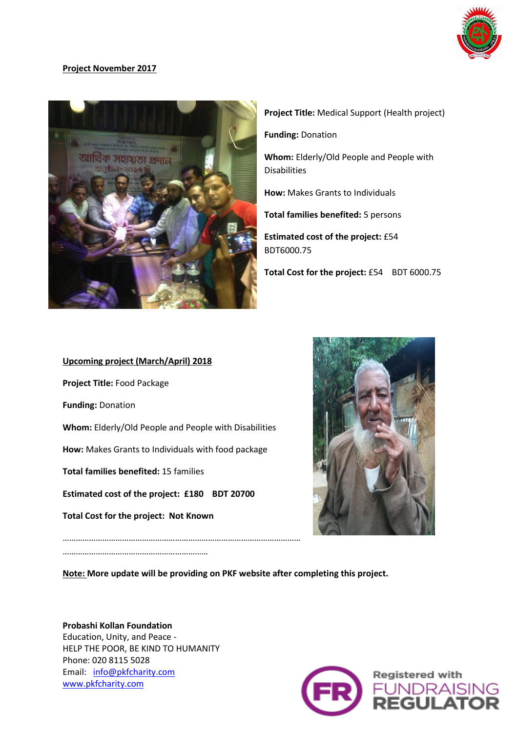

# **Project November 2017**



**Project Title:** Medical Support (Health project)

**Funding:** Donation

**Whom:** Elderly/Old People and People with Disabilities

**How:** Makes Grants to Individuals

**Total families benefited:** 5 persons

**Estimated cost of the project:** £54 BDT6000.75

**Total Cost for the project:** £54 BDT 6000.75

# **Upcoming project (March/April) 2018 Project Title:** Food Package **Funding:** Donation **Whom:** Elderly/Old People and People with Disabilities **How:** Makes Grants to Individuals with food package **Total families benefited:** 15 families **Estimated cost of the project: £180 BDT 20700 Total Cost for the project: Not Known**  ………………………………………………………………………………………………

…………………………………………………………



**Note: More update will be providing on PKF website after completing this project.**